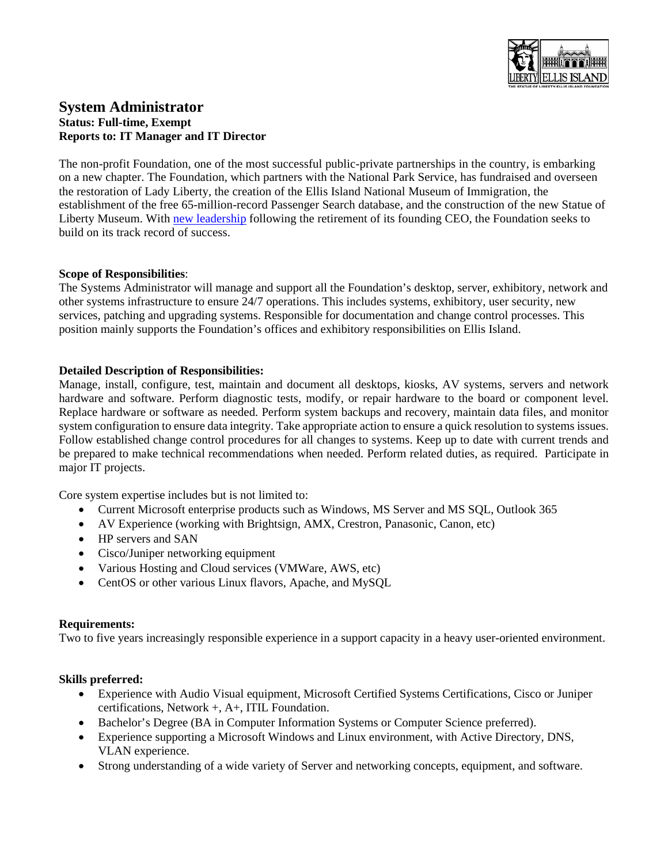

# **System Administrator Status: Full-time, Exempt Reports to: IT Manager and IT Director**

The non-profit Foundation, one of the most successful public-private partnerships in the country, is embarking on a new chapter. The Foundation, which partners with the National Park Service, has fundraised and overseen the restoration of Lady Liberty, the creation of the Ellis Island National Museum of Immigration, the establishment of the free 65-million-record Passenger Search database, and the construction of the new Statue of Liberty Museum. With [new leadership](https://www.bostonglobe.com/2021/03/26/opinion/gripes-gratitude-greenway/) following the retirement of its founding CEO, the Foundation seeks to build on its track record of success.

#### **Scope of Responsibilities**:

The Systems Administrator will manage and support all the Foundation's desktop, server, exhibitory, network and other systems infrastructure to ensure 24/7 operations. This includes systems, exhibitory, user security, new services, patching and upgrading systems. Responsible for documentation and change control processes. This position mainly supports the Foundation's offices and exhibitory responsibilities on Ellis Island.

## **Detailed Description of Responsibilities:**

Manage, install, configure, test, maintain and document all desktops, kiosks, AV systems, servers and network hardware and software. Perform diagnostic tests, modify, or repair hardware to the board or component level. Replace hardware or software as needed. Perform system backups and recovery, maintain data files, and monitor system configuration to ensure data integrity. Take appropriate action to ensure a quick resolution to systems issues. Follow established change control procedures for all changes to systems. Keep up to date with current trends and be prepared to make technical recommendations when needed. Perform related duties, as required. Participate in major IT projects.

Core system expertise includes but is not limited to:

- Current Microsoft enterprise products such as Windows, MS Server and MS SQL, Outlook 365
- AV Experience (working with Brightsign, AMX, Crestron, Panasonic, Canon, etc)
- HP servers and SAN
- Cisco/Juniper networking equipment
- Various Hosting and Cloud services (VMWare, AWS, etc)
- CentOS or other various Linux flavors, Apache, and MySQL

#### **Requirements:**

Two to five years increasingly responsible experience in a support capacity in a heavy user-oriented environment.

#### **Skills preferred:**

- Experience with Audio Visual equipment, Microsoft Certified Systems Certifications, Cisco or Juniper certifications, Network +, A+, ITIL Foundation.
- Bachelor's Degree (BA in Computer Information Systems or Computer Science preferred).
- Experience supporting a Microsoft Windows and Linux environment, with Active Directory, DNS, VLAN experience.
- Strong understanding of a wide variety of Server and networking concepts, equipment, and software.